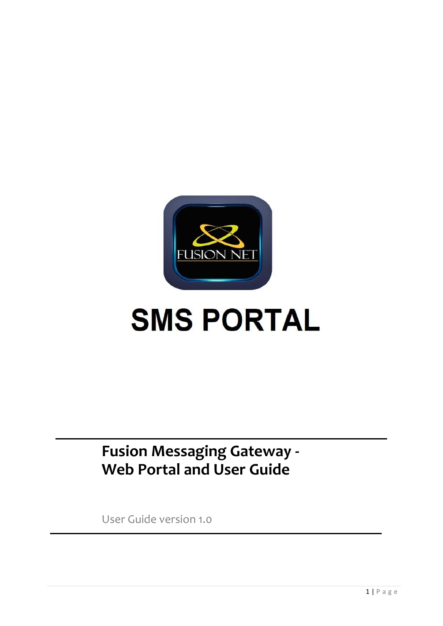

# **SMS PORTAL**

# **Fusion Messaging Gateway - Web Portal and User Guide**

User Guide version 1.0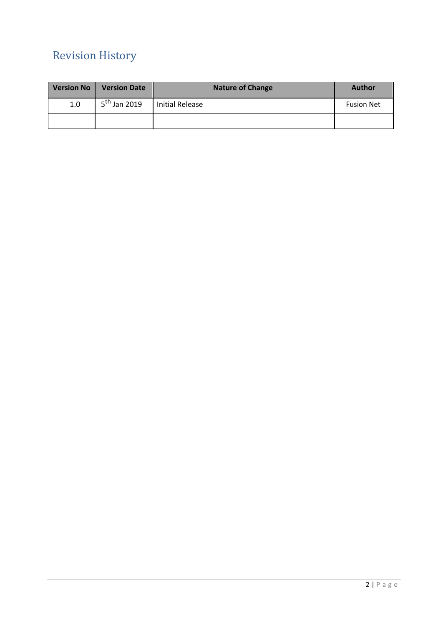# Revision History

| Version No | <b>Version Date</b>      | <b>Nature of Change</b> | <b>Author</b>     |
|------------|--------------------------|-------------------------|-------------------|
| 1.0        | 5 <sup>th</sup> Jan 2019 | Initial Release         | <b>Fusion Net</b> |
|            |                          |                         |                   |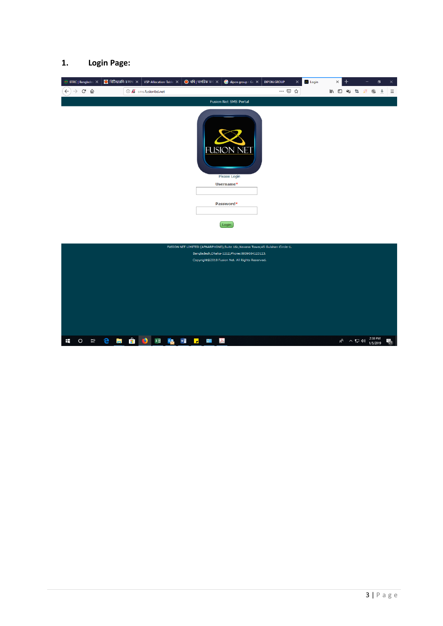#### **1. Login Page:**

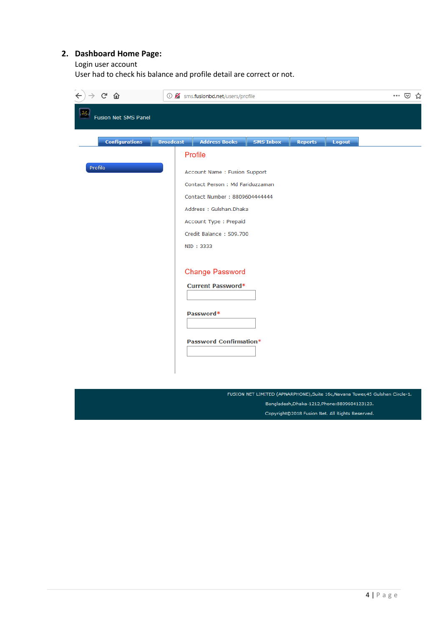# **2. Dashboard Home Page:**

Login user account

User had to check his balance and profile detail are correct or not.

| $\leftarrow$<br>$C$ $\hat{\omega}$ |                  | <b>1</b> sms.fusionbd.net/users/profile            |                  |                |        | ☆ |
|------------------------------------|------------------|----------------------------------------------------|------------------|----------------|--------|---|
| Fusion Net SMS Panel               |                  |                                                    |                  |                |        |   |
| <b>Configurations</b>              | <b>Broadcast</b> | <b>Address Books</b>                               | <b>SMS Inbox</b> | <b>Reports</b> | Logout |   |
|                                    |                  | Profile                                            |                  |                |        |   |
| Profile                            |                  | Account Name : Fusion Support                      |                  |                |        |   |
|                                    |                  | Contact Person: Md Fariduzzaman                    |                  |                |        |   |
|                                    |                  | Contact Number: 8809604444444                      |                  |                |        |   |
|                                    |                  | Address: Gulshan.Dhaka                             |                  |                |        |   |
|                                    |                  | Account Type : Prepaid                             |                  |                |        |   |
|                                    |                  | Credit Balance: 509.700                            |                  |                |        |   |
|                                    |                  | NID: 3333                                          |                  |                |        |   |
|                                    |                  | <b>Change Password</b><br><b>Current Password*</b> |                  |                |        |   |
|                                    |                  | Password*                                          |                  |                |        |   |
|                                    |                  | <b>Password Confirmation*</b>                      |                  |                |        |   |
|                                    |                  |                                                    |                  |                |        |   |

FUSION NET LIMITED (APNARPHONE), Suite 16c, Navana Tower, 45 Gulshan Circle-1. Bangladesh, Dhaka-1212, Phone: 8809604123123. Copyright@2018 Fusion Net. All Rights Reserved.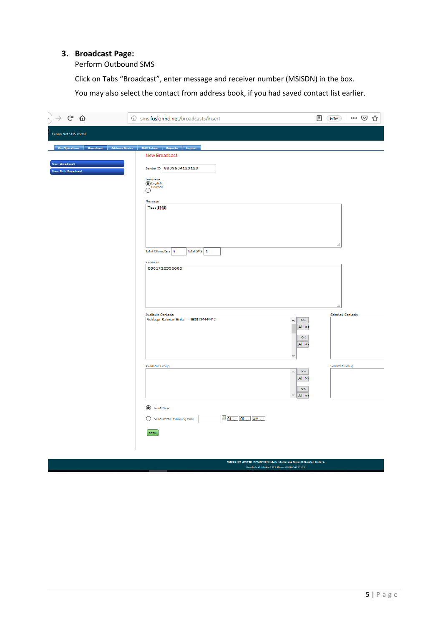## **3. Broadcast Page:**

Perform Outbound SMS

Click on Tabs "Broadcast", enter message and receiver number (MSISDN) in the box.

You may also select the contact from address book, if you had saved contact list earlier.

| $\cdot$ $\rightarrow$ e $\omega$                                                                                        | <b><i><u>O</u></i></b> sms.fusionbd.net/broadcasts/insert                                                                                                                                                                                                                           | … ⊙ ☆<br>▣<br>60%                                |
|-------------------------------------------------------------------------------------------------------------------------|-------------------------------------------------------------------------------------------------------------------------------------------------------------------------------------------------------------------------------------------------------------------------------------|--------------------------------------------------|
| <b>Fusion Net SMS Portal</b>                                                                                            |                                                                                                                                                                                                                                                                                     |                                                  |
| Configurations   Broadcast   Address Books   SMS Inbox   Reports   Logout<br>New Broadcast<br><b>New Bulk Broadcast</b> | New Broadcast<br>Sender ID 8809604123123<br>Language<br>C English<br>Unicode<br>$\circ$<br>Message<br>Test SMS<br>Total Characters 8<br>Total SMS 1<br>Receiver<br>8801726556688                                                                                                    |                                                  |
|                                                                                                                         | Available Contacts<br>Ashfaqur Rahman Sinha - 8801724444442<br>$>\!>$<br>$\land$<br>All > 3<br>$<<$<br>All <<br>v<br>Available Group<br>$>\!>$<br>$\mathcal{O}_2$<br>All > 2<br>$<<$<br>All <<br>Send Now<br>$101 \times 00 \times$ AM $\sim$<br>Send at the following time<br>Send | a.<br><b>Selected Contacts</b><br>Selected Group |

NISION NET LINITED (APNARPHONE),Suite 18e,Navana Texer,45 Guishan Orde-1<br>Eangladesh,Dhaka-1212,Phone:8809804123123.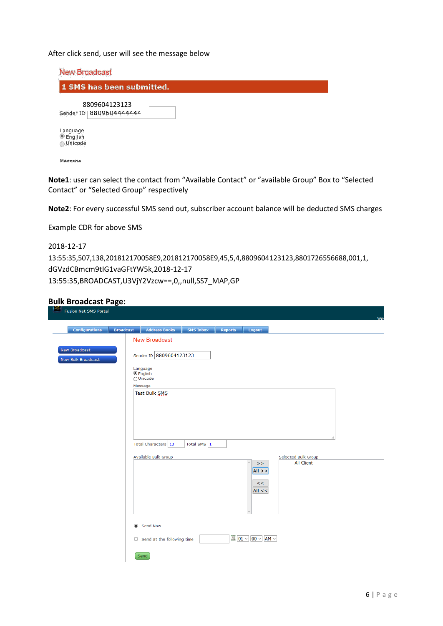After click send, user will see the message below

| <b>New Broadcast</b>                           |  |
|------------------------------------------------|--|
| 1 SMS has been submitted.                      |  |
| 8809604123123<br>Sender ID   8809604444444     |  |
| Language<br><b>English</b><br><b>O</b> Unicode |  |

Message

**Note1**: user can select the contact from "Available Contact" or "available Group" Box to "Selected Contact" or "Selected Group" respectively

**Note2**: For every successful SMS send out, subscriber account balance will be deducted SMS charges

Example CDR for above SMS

```
2018-12-17
13:55:35,507,138,201812170058E9,201812170058E9,45,5,4,8809604123123,8801726556688,001,1,
dGVzdCBmcm9tIG1vaGFtYW5k,2018-12-17
13:55:35,BROADCAST,U3VjY2Vzcw==,0,,null,SS7_MAP,GP
```
#### **Bulk Broadcast Page:**

| <b>Address Books</b><br><b>Configurations</b><br><b>Broadcast</b><br><b>SMS Inbox</b><br>Logout<br><b>Reports</b><br><b>New Broadcast</b><br>New Broadcast<br>Sender ID 8809604123123<br>New Bulk Broadcast<br>Language<br>$\odot$ English<br>$\bigcirc$ Unicode<br>Message<br>Test Bulk SMS<br>Total SMS $\vert$ 1<br>Total Characters 13<br>Selected Bulk Group<br>Available Bulk Group<br>-All-Client<br>$\hat{\rho}_{\rm{t}}$<br>$\,$<br>$\vert$ All >> $\vert$<br>$<<$<br>All <<<br>Send Now<br>$\frac{1}{20}$ 01 $\vee$ 00 $\vee$ AM $\vee$<br>$\bigcirc$ Send at the following time | <b>Fusion Net SMS Portal</b> |  |  |
|--------------------------------------------------------------------------------------------------------------------------------------------------------------------------------------------------------------------------------------------------------------------------------------------------------------------------------------------------------------------------------------------------------------------------------------------------------------------------------------------------------------------------------------------------------------------------------------------|------------------------------|--|--|
|                                                                                                                                                                                                                                                                                                                                                                                                                                                                                                                                                                                            |                              |  |  |
|                                                                                                                                                                                                                                                                                                                                                                                                                                                                                                                                                                                            |                              |  |  |
|                                                                                                                                                                                                                                                                                                                                                                                                                                                                                                                                                                                            |                              |  |  |
|                                                                                                                                                                                                                                                                                                                                                                                                                                                                                                                                                                                            |                              |  |  |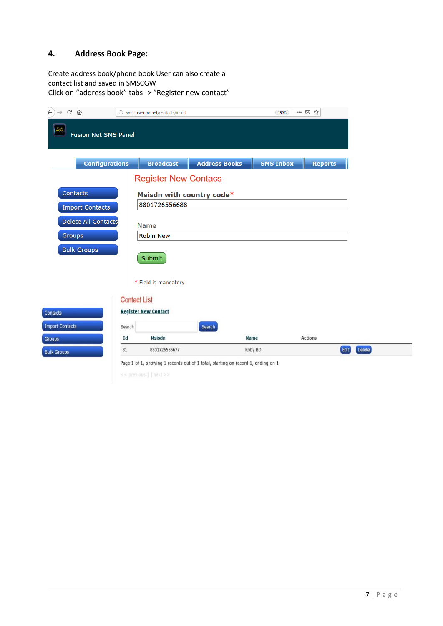#### **4. Address Book Page:**

Create address book/phone book User can also create a contact list and saved in SMSCGW Click on "address book" tabs -> "Register new contact"



<< previous | | next >>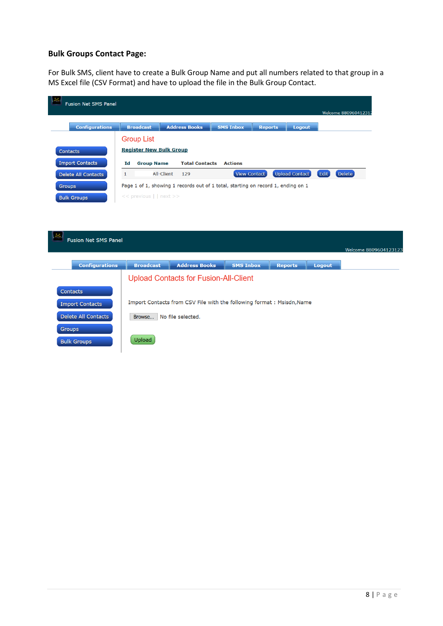## **Bulk Groups Contact Page:**

For Bulk SMS, client have to create a Bulk Group Name and put all numbers related to that group in a MS Excel file (CSV Format) and have to upload the file in the Bulk Group Contact.

| <b>Configurations</b>      | <b>Broadcast</b><br><b>Group List</b> | <b>Address Books</b>                                                             | <b>SMS Inbox</b> | <b>Reports</b> | Logout                |                |
|----------------------------|---------------------------------------|----------------------------------------------------------------------------------|------------------|----------------|-----------------------|----------------|
| <b>Contacts</b>            | <b>Register New Bulk Group</b>        |                                                                                  |                  |                |                       |                |
| <b>Import Contacts</b>     | <b>Group Name</b><br>Id               | <b>Total Contacts</b>                                                            | <b>Actions</b>   |                |                       |                |
| <b>Delete All Contacts</b> | $\mathbf{1}$                          | All-Client<br>129                                                                | View Contact     |                | <b>Upload Contact</b> | Edit<br>Delete |
| <b>Groups</b>              |                                       | Page 1 of 1, showing 1 records out of 1 total, starting on record 1, ending on 1 |                  |                |                       |                |
| <b>Bulk Groups</b>         | << previous     next >>               |                                                                                  |                  |                |                       |                |

|                 | <b>Configurations</b>      | <b>Broadcast</b> | <b>Address Books</b>                                                  | <b>SMS Inbox</b> | <b>Reports</b> | Logout |
|-----------------|----------------------------|------------------|-----------------------------------------------------------------------|------------------|----------------|--------|
|                 |                            |                  | <b>Upload Contacts for Fusion-All-Client</b>                          |                  |                |        |
| <b>Contacts</b> |                            |                  |                                                                       |                  |                |        |
|                 | <b>Import Contacts</b>     |                  | Import Contacts from CSV File with the following format: Msisdn, Name |                  |                |        |
|                 | <b>Delete All Contacts</b> | Browse           | No file selected.                                                     |                  |                |        |
| <b>Groups</b>   |                            |                  |                                                                       |                  |                |        |
|                 | <b>Bulk Groups</b>         | Upload           |                                                                       |                  |                |        |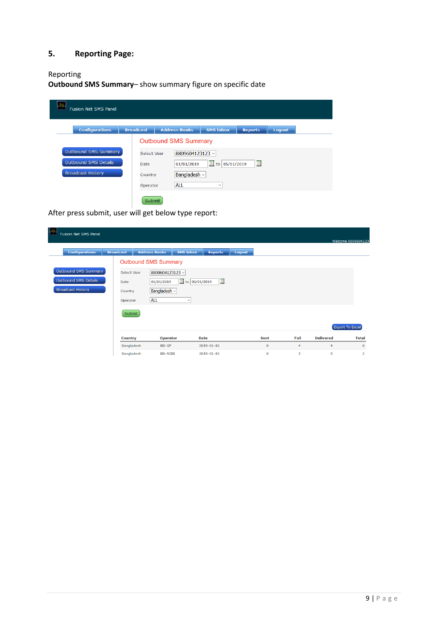# **5. Reporting Page:**

# Reporting

**Outbound SMS Summary**– show summary figure on specific date

| <b>Fusion Net SMS Panel</b> |                  |                             |                  |                             |        |  |
|-----------------------------|------------------|-----------------------------|------------------|-----------------------------|--------|--|
| <b>Configurations</b>       | <b>Broadcast</b> | <b>Address Books</b>        | <b>SMS Inbox</b> | <b>Reports</b>              | Logout |  |
|                             |                  | <b>Outbound SMS Summary</b> |                  |                             |        |  |
| Outbound SMS Summary        | Select User      | 8809604123123 $\vee$        |                  |                             |        |  |
| Outbound SMS Details        | Date             | 01/01/2019                  | to 05/01/2019    | $\overline{\widetilde{23}}$ |        |  |
| <b>Broadcast History</b>    | Country          | Bangladesh $\sim$           |                  |                             |        |  |
|                             | Operator         | <b>ALL</b>                  | $\checkmark$     |                             |        |  |
|                             | Cubmit           |                             |                  |                             |        |  |

After press submit, user will get below type report:

| 33 <br><b>Fusion Net SMS Panel</b> |                  |                                      |                               |                            |               |             |                |                  |                    |
|------------------------------------|------------------|--------------------------------------|-------------------------------|----------------------------|---------------|-------------|----------------|------------------|--------------------|
|                                    |                  |                                      |                               |                            |               |             |                |                  | Welcome 8809604123 |
| <b>Configurations</b>              | <b>Broadcast</b> | <b>Address Books</b>                 | <b>SMS Inbox</b>              | <b>Reports</b>             | <b>Logout</b> |             |                |                  |                    |
|                                    |                  | <b>Outbound SMS Summary</b>          |                               |                            |               |             |                |                  |                    |
| Outbound SMS Summary               | Select User      | 8809604123123 $\scriptstyle\rm\cdot$ |                               |                            |               |             |                |                  |                    |
| Outbound SMS Details               | Date             | 01/01/2019                           | $\frac{23}{22}$ to 05/01/2019 | $\overline{\overline{23}}$ |               |             |                |                  |                    |
| <b>Broadcast History</b>           | Country          | Bangladesh ~                         |                               |                            |               |             |                |                  |                    |
|                                    | Operator         | <b>ALL</b>                           | $\checkmark$                  |                            |               |             |                |                  |                    |
|                                    | Submit           |                                      |                               |                            |               |             |                |                  |                    |
|                                    |                  |                                      |                               |                            |               |             |                |                  |                    |
|                                    |                  |                                      |                               |                            |               |             |                |                  | Export To Excel    |
|                                    | <b>Country</b>   | <b>Operator</b>                      |                               | <b>Date</b>                |               | <b>Sent</b> | Fail           | <b>Delivered</b> | <b>Total</b>       |
|                                    | Bangladesh       | BD-GP                                |                               | $2019 - 01 - 01$           |               | $\mathbf 0$ | 4              | 4                | 8                  |
|                                    | Bangladesh       | <b>BD-ROBI</b>                       |                               | 2019-01-01                 |               | $\mathbf 0$ | $\overline{2}$ | $\mathbf 0$      | $\overline{2}$     |